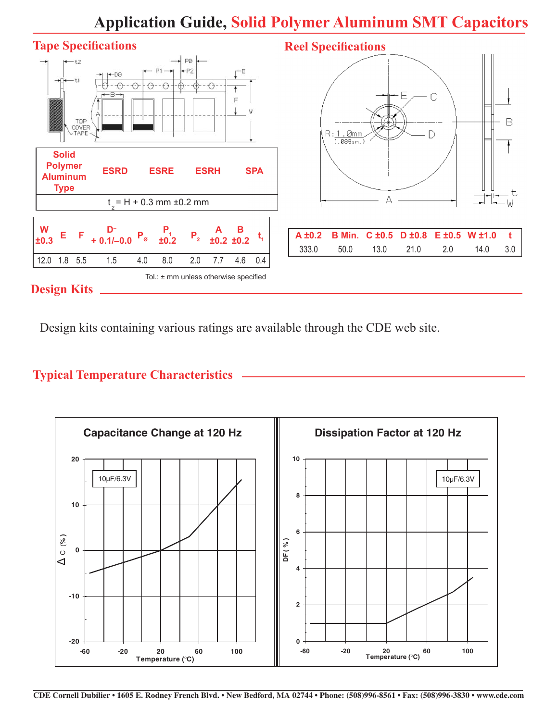# **Application Guide, Solid Polymer Aluminum SMT Capacitors**



Design kits containing various ratings are available through the CDE web site.

# **Typical Temperature Characteristics**

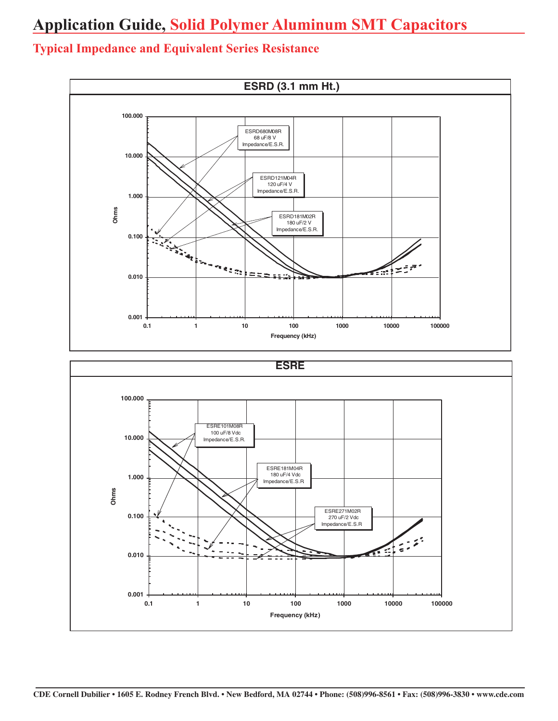# **Application Guide, Solid Polymer Aluminum SMT Capacitors**

#### **ESRD (3.1 mm Ht.) 100.000** ESRD680M08R 68 uF/8 V Impedance/E.S.R. **10.000** ESRD121M04R 120 uF/4 V Impedance/E.S.R. **1.000 Ohms** ESRD181M02R 180 uF/2 V Impedance/E.S.R. **0.100 PARTICULE** Seeding States  $\mathbf{z}$ FE II **0.010** ÷. **0.001 0.1 1 10 100 1000 10000 100000 Frequency (kHz) ESRE100.000** ESRE101M08R 100 uF/8 Vdc **10.000** Impedance/E.S.R. ESRE181M04R 180 uF/4 Vdc **1.000** Impedance/E.S.R. **Ohms** ESRE271M02R **0.100** 270 uF/2 Vdc Impedance/E.S.R. **0.010 0.001 0.1 1 10 100 1000 10000 100000 Frequency (kHz)**

# **Typical Impedance and Equivalent Series Resistance**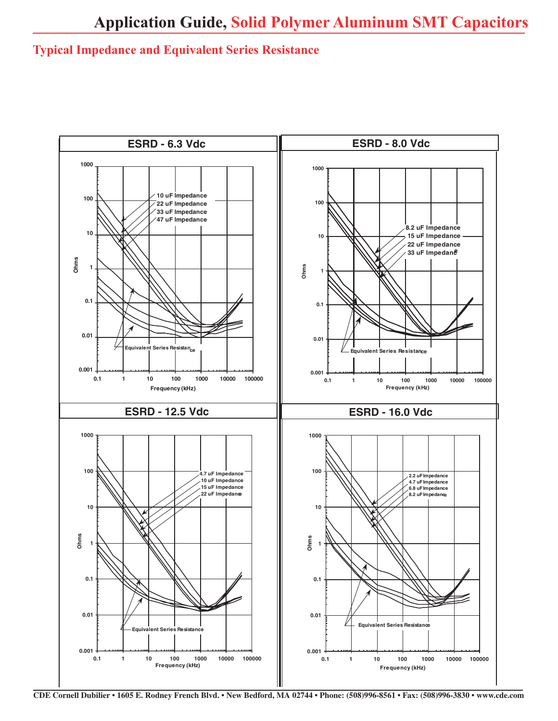# **Typical Impedance and Equivalent Series Resistance**

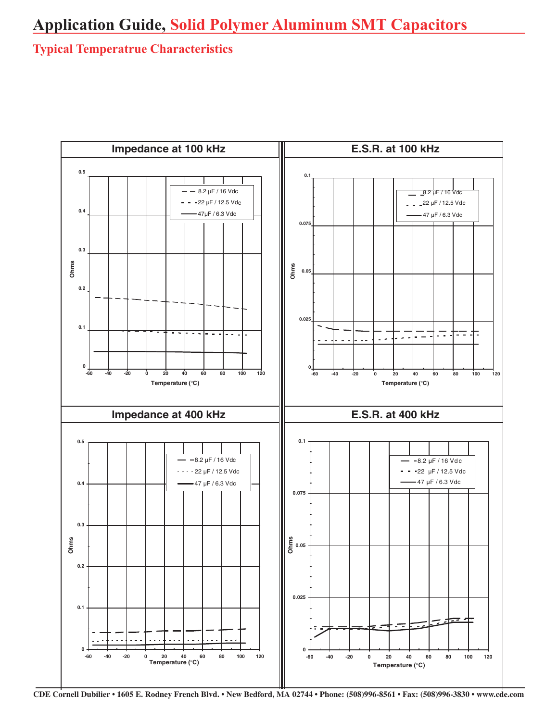# **Typical Temperatrue Characteristics**

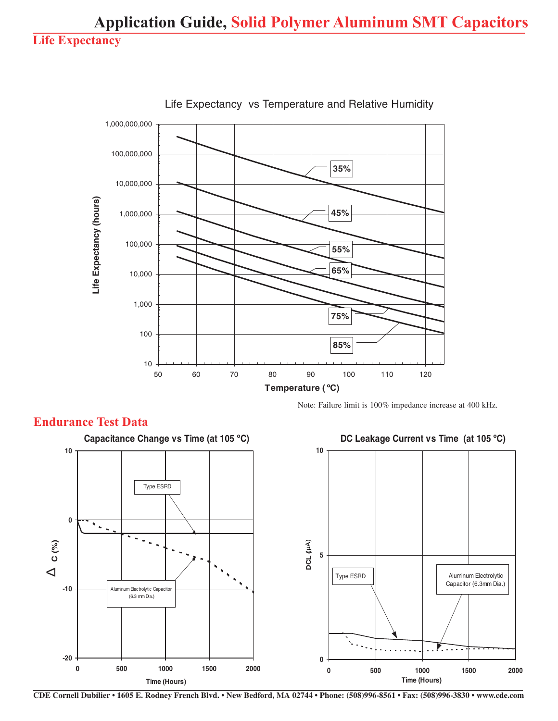

**Endurance Test Data**

Life Expectancy vs Temperature and Relative Humidity

Note: Failure limit is 100% impedance increase at 400 kHz.



#### **CDE Cornell Dubilier • 1605 E. Rodney French Blvd. • New Bedford, MA 02744 • Phone: (508)996-8561 • Fax: (508)996-3830 • www.cde.com**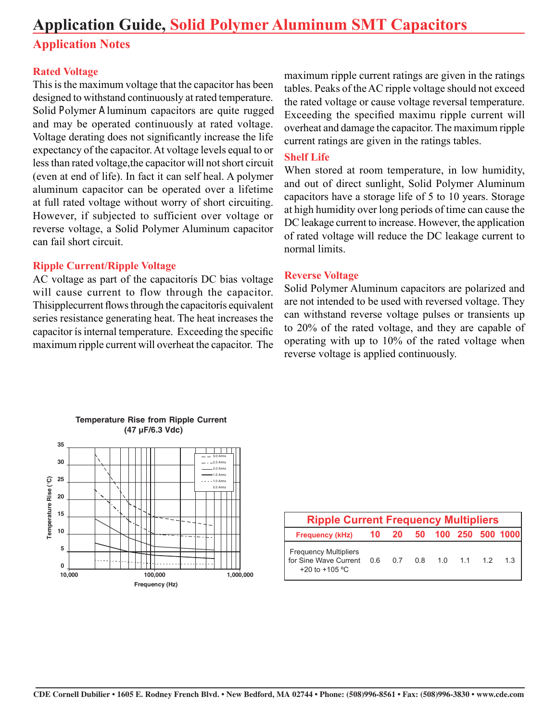# **Application Guide, Solid Polymer Aluminum SMT Capacitors**

# **Application Notes**

#### **Rated Voltage**

This is the maximum voltage that the capacitor has been designed to withstand continuously at rated temperature. Solid Polymer Aluminum capacitors are quite rugged and may be operated continuously at rated voltage. Voltage derating does not significantly increase the life expectancy of the capacitor. At voltage levels equal to or less than rated voltage,the capacitor will not short circuit (even at end of life). In fact it can self heal. A polymer aluminum capacitor can be operated over a lifetime at full rated voltage without worry of short circuiting. However, if subjected to sufficient over voltage or reverse voltage, a Solid Polymer Aluminum capacitor can fail short circuit.

#### **Ripple Current/Ripple Voltage**

AC voltage as part of the capacitorís DC bias voltage will cause current to flow through the capacitor. Thisipplecurrent flows through the capacitorís equivalent series resistance generating heat. The heat increases the capacitor ís internal temperature. Exceeding the specific maximum ripple current will overheat the capacitor. The

maximum ripple current ratings are given in the ratings tables. Peaks of the AC ripple voltage should not exceed the rated voltage or cause voltage reversal temperature. Exceeding the specified maximu ripple current will overheat and damage the capacitor. The maximum ripple current ratings are given in the ratings tables.

#### **Shelf Life**

When stored at room temperature, in low humidity, and out of direct sunlight, Solid Polymer Aluminum capacitors have a storage life of 5 to 10 years. Storage at high humidity over long periods of time can cause the DC leakage current to increase. However, the application of rated voltage will reduce the DC leakage current to normal limits.

#### **Reverse Voltage**

Solid Polymer Aluminum capacitors are polarized and are not intended to be used with reversed voltage. They can withstand reverse voltage pulses or transients up to 20% of the rated voltage, and they are capable of operating with up to 10% of the rated voltage when reverse voltage is applied continuously.



| <b>Ripple Current Frequency Multipliers</b>                                                                   |  |  |  |  |  |  |                           |  |  |
|---------------------------------------------------------------------------------------------------------------|--|--|--|--|--|--|---------------------------|--|--|
| <b>Frequency (kHz)</b>                                                                                        |  |  |  |  |  |  | 10 20 50 100 250 500 1000 |  |  |
| <b>Frequency Multipliers</b><br>for Sine Wave Current 0.6 0.7 0.8 1.0 1.1 1.2 1.3<br>+20 to +105 $^{\circ}$ C |  |  |  |  |  |  |                           |  |  |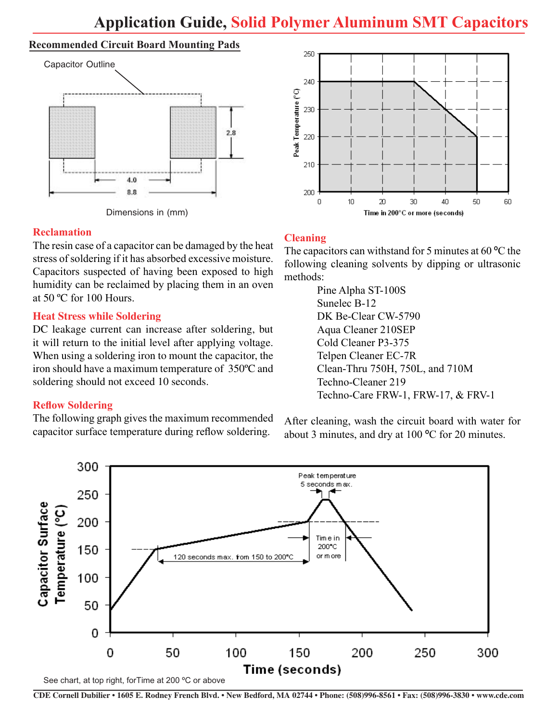#### **Recommended Circuit Board Mounting Pads**





#### **Reclamation**

The resin case of a capacitor can be damaged by the heat stress of soldering if it has absorbed excessive moisture. Capacitors suspected of having been exposed to high humidity can be reclaimed by placing them in an oven at 50 ºC for 100 Hours.

#### **Heat Stress while Soldering**

DC leakage current can increase after soldering, but it will return to the initial level after applying voltage. When using a soldering iron to mount the capacitor, the iron should have a maximum temperature of 350ºC and soldering should not exceed 10 seconds.

### **Reflow Soldering**

The following graph gives the maximum recommended capacitor surface temperature during reflow soldering.



## **Cleaning**

The capacitors can withstand for 5 minutes at 60 °C the following cleaning solvents by dipping or ultrasonic methods:

> Pine Alpha ST-100S Sunelec B-12 DK Be-Clear CW-5790 Aqua Cleaner 210SEP Cold Cleaner P3-375 Telpen Cleaner EC-7R Clean-Thru 750H, 750L, and 710M Techno-Cleaner 219 Techno-Care FRW-1, FRW-17, & FRV-1

After cleaning, wash the circuit board with water for about 3 minutes, and dry at 100 ºC for 20 minutes.

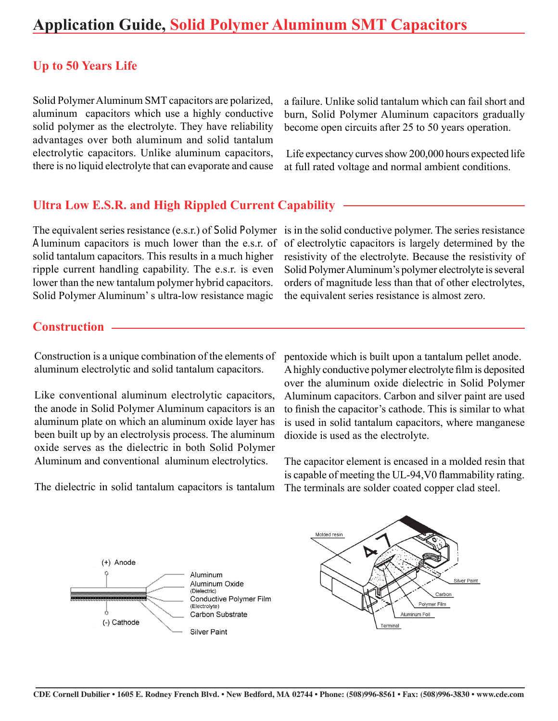## **Up to 50 Years Life**

Solid Polymer Aluminum SMT capacitors are polarized, aluminum capacitors which use a highly conductive solid polymer as the electrolyte. They have reliability advantages over both aluminum and solid tantalum electrolytic capacitors. Unlike aluminum capacitors, there is no liquid electrolyte that can evaporate and cause a failure. Unlike solid tantalum which can fail short and burn, Solid Polymer Aluminum capacitors gradually become open circuits after 25 to 50 years operation.

 Life expectancy curves show 200,000 hours expected life at full rated voltage and normal ambient conditions.

#### **Ultra Low E.S.R. and High Rippled Current Capability**

The equivalent series resistance (e.s.r.) of Solid Polymer is in the solid conductive polymer. The series resistance Aluminum capacitors is much lower than the e.s.r. of solid tantalum capacitors. This results in a much higher ripple current handling capability. The e.s.r. is even lower than the new tantalum polymer hybrid capacitors. Solid Polymer Aluminum' s ultra-low resistance magic

of electrolytic capacitors is largely determined by the resistivity of the electrolyte. Because the resistivity of Solid Polymer Aluminum's polymer electrolyte is several orders of magnitude less than that of other electrolytes, the equivalent series resistance is almost zero.

### **Construction**

Construction is a unique combination of the elements of aluminum electrolytic and solid tantalum capacitors.

Like conventional aluminum electrolytic capacitors, the anode in Solid Polymer Aluminum capacitors is an aluminum plate on which an aluminum oxide layer has been built up by an electrolysis process. The aluminum oxide serves as the dielectric in both Solid Polymer Aluminum and conventional aluminum electrolytics.

pentoxide which is built upon a tantalum pellet anode. A highly conductive polymer electrolyte film is deposited over the aluminum oxide dielectric in Solid Polymer Aluminum capacitors. Carbon and silver paint are used to finish the capacitor's cathode. This is similar to what is used in solid tantalum capacitors, where manganese dioxide is used as the electrolyte.

The capacitor element is encased in a molded resin that is capable of meeting the UL-94,V0 flammability rating. The terminals are solder coated copper clad steel.

The dielectric in solid tantalum capacitors is tantalum



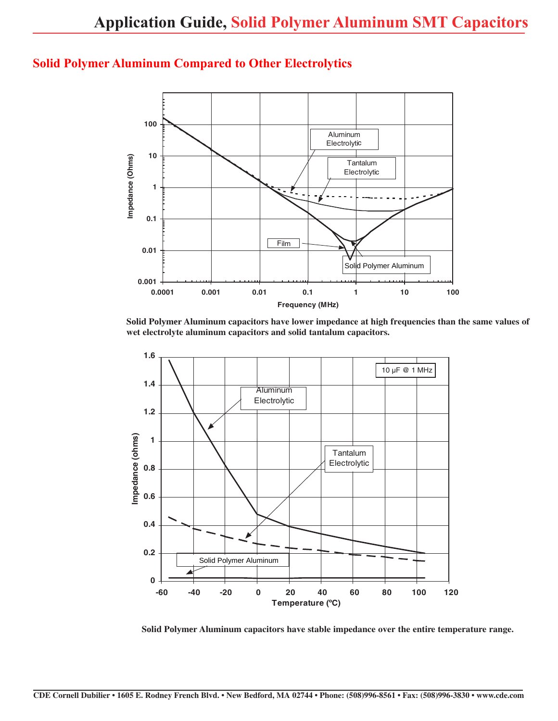## **Solid Polymer Aluminum Compared to Other Electrolytics**



**Solid Polymer Aluminum capacitors have lower impedance at high frequencies than the same values of wet electrolyte aluminum capacitors and solid tantalum capacitors.**



**Solid Polymer Aluminum capacitors have stable impedance over the entire temperature range.**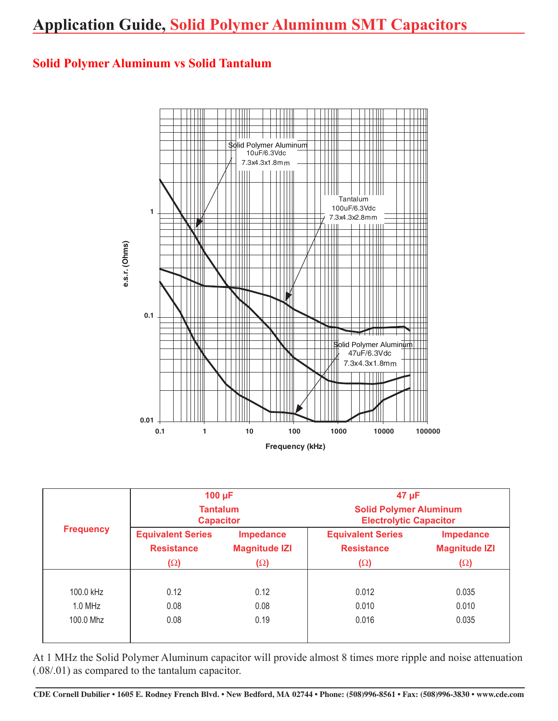# **Solid Polymer Aluminum vs Solid Tantalum**



|                  | $100 \mu F$                         |                      | $47 \mu F$<br><b>Solid Polymer Aluminum</b><br><b>Electrolytic Capacitor</b> |                      |  |  |
|------------------|-------------------------------------|----------------------|------------------------------------------------------------------------------|----------------------|--|--|
| <b>Frequency</b> | <b>Tantalum</b><br><b>Capacitor</b> |                      |                                                                              |                      |  |  |
|                  | <b>Equivalent Series</b>            | <b>Impedance</b>     | <b>Equivalent Series</b>                                                     | <b>Impedance</b>     |  |  |
|                  | <b>Resistance</b>                   | <b>Magnitude IZI</b> | <b>Resistance</b>                                                            | <b>Magnitude IZI</b> |  |  |
|                  | $(\Omega)$                          | $(\Omega)$           | $(\Omega)$                                                                   | $(\Omega)$           |  |  |
|                  |                                     |                      |                                                                              |                      |  |  |
| 100.0 kHz        | 0.12                                | 0.12                 | 0.012                                                                        | 0.035                |  |  |
| $1.0$ MHz        | 0.08                                | 0.08                 | 0.010                                                                        | 0.010                |  |  |
| 100.0 Mhz        | 0.08                                | 0.19                 | 0.016                                                                        | 0.035                |  |  |
|                  |                                     |                      |                                                                              |                      |  |  |

At 1 MHz the Solid Polymer Aluminum capacitor will provide almost 8 times more ripple and noise attenuation (.08/.01) as compared to the tantalum capacitor.